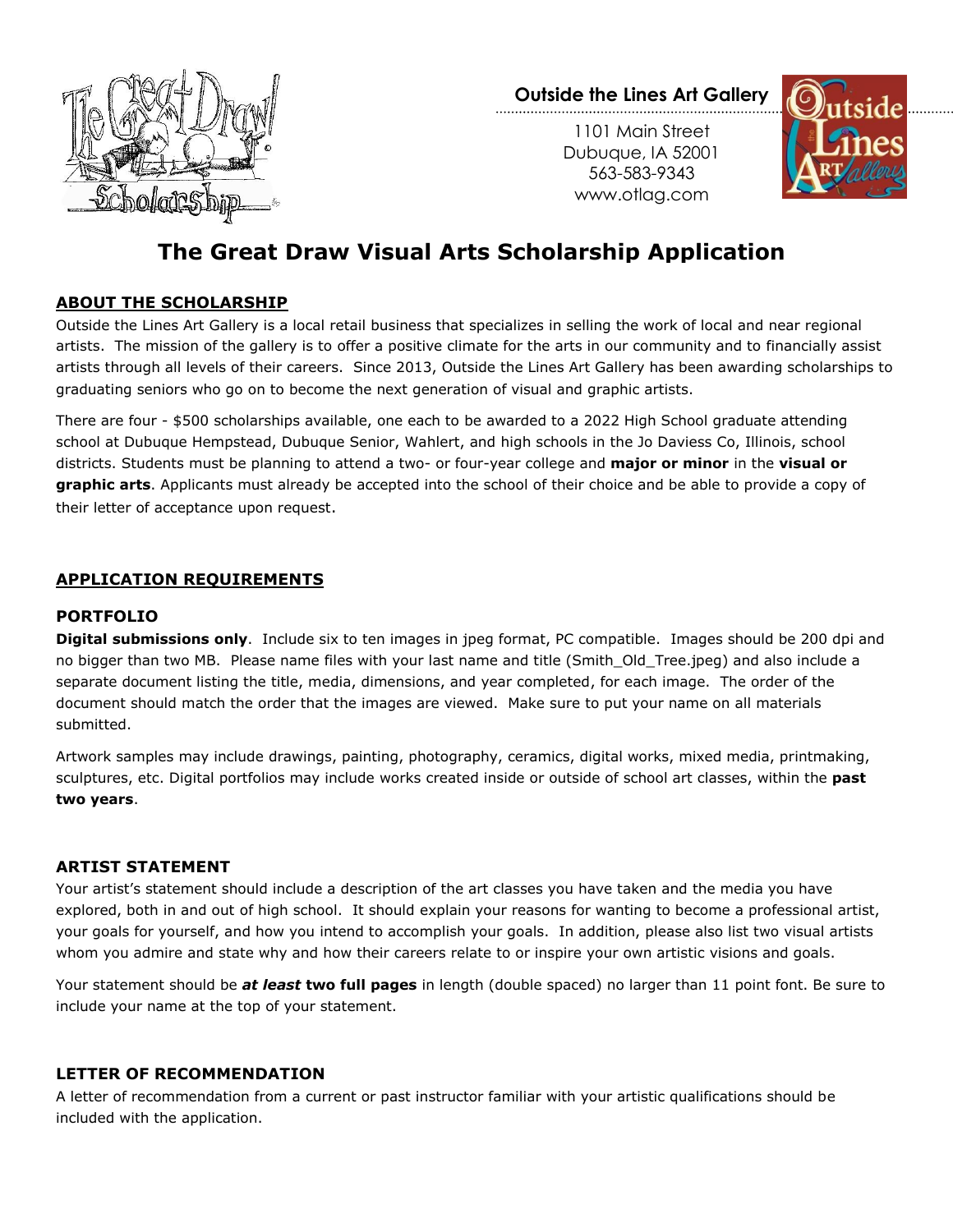

**Outside the Lines Art Gallery**

1101 Main Street Dubuque, IA 52001 563-583-9343 www.otlag.com



# **The Great Draw Visual Arts Scholarship Application**

# **ABOUT THE SCHOLARSHIP**

Outside the Lines Art Gallery is a local retail business that specializes in selling the work of local and near regional artists. The mission of the gallery is to offer a positive climate for the arts in our community and to financially assist artists through all levels of their careers. Since 2013, Outside the Lines Art Gallery has been awarding scholarships to graduating seniors who go on to become the next generation of visual and graphic artists.

There are four - \$500 scholarships available, one each to be awarded to a 2022 High School graduate attending school at Dubuque Hempstead, Dubuque Senior, Wahlert, and high schools in the Jo Daviess Co, Illinois, school districts. Students must be planning to attend a two- or four-year college and **major or minor** in the **visual or graphic arts**. Applicants must already be accepted into the school of their choice and be able to provide a copy of their letter of acceptance upon request.

## **APPLICATION REQUIREMENTS**

# **PORTFOLIO**

**Digital submissions only**. Include six to ten images in jpeg format, PC compatible. Images should be 200 dpi and no bigger than two MB. Please name files with your last name and title (Smith\_Old\_Tree.jpeg) and also include a separate document listing the title, media, dimensions, and year completed, for each image. The order of the document should match the order that the images are viewed. Make sure to put your name on all materials submitted.

Artwork samples may include drawings, painting, photography, ceramics, digital works, mixed media, printmaking, sculptures, etc. Digital portfolios may include works created inside or outside of school art classes, within the **past two years**.

#### **ARTIST STATEMENT**

Your artist's statement should include a description of the art classes you have taken and the media you have explored, both in and out of high school. It should explain your reasons for wanting to become a professional artist, your goals for yourself, and how you intend to accomplish your goals. In addition, please also list two visual artists whom you admire and state why and how their careers relate to or inspire your own artistic visions and goals.

Your statement should be *at least* **two full pages** in length (double spaced) no larger than 11 point font. Be sure to include your name at the top of your statement.

## **LETTER OF RECOMMENDATION**

A letter of recommendation from a current or past instructor familiar with your artistic qualifications should be included with the application.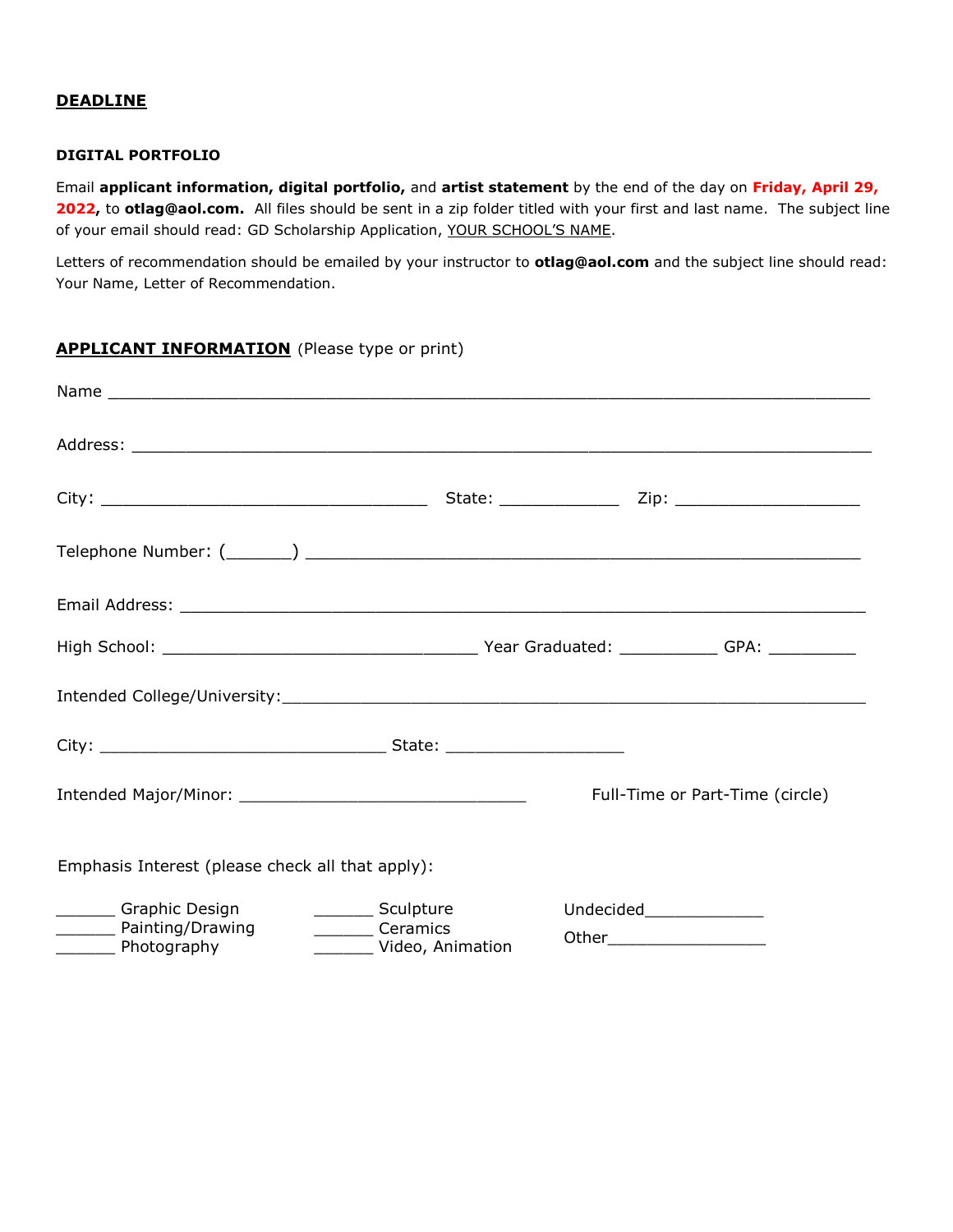#### **DEADLINE**

#### **DIGITAL PORTFOLIO**

Email **applicant information, digital portfolio,** and **artist statement** by the end of the day on **Friday, April 29, 2022,** to **otlag@aol.com.** All files should be sent in a zip folder titled with your first and last name. The subject line of your email should read: GD Scholarship Application, YOUR SCHOOL'S NAME.

Letters of recommendation should be emailed by your instructor to **otlag@aol.com** and the subject line should read: Your Name, Letter of Recommendation.

# **APPLICANT INFORMATION** (Please type or print)

|                                                                                                                      |                  | Full-Time or Part-Time (circle) |
|----------------------------------------------------------------------------------------------------------------------|------------------|---------------------------------|
| Emphasis Interest (please check all that apply):                                                                     |                  |                                 |
| <b>Example School</b> Graphic Design<br>Sculpture<br>Painting/Drawing<br>_________ Ceramics<br>_________ Photography | Video, Animation | Undecided________________       |